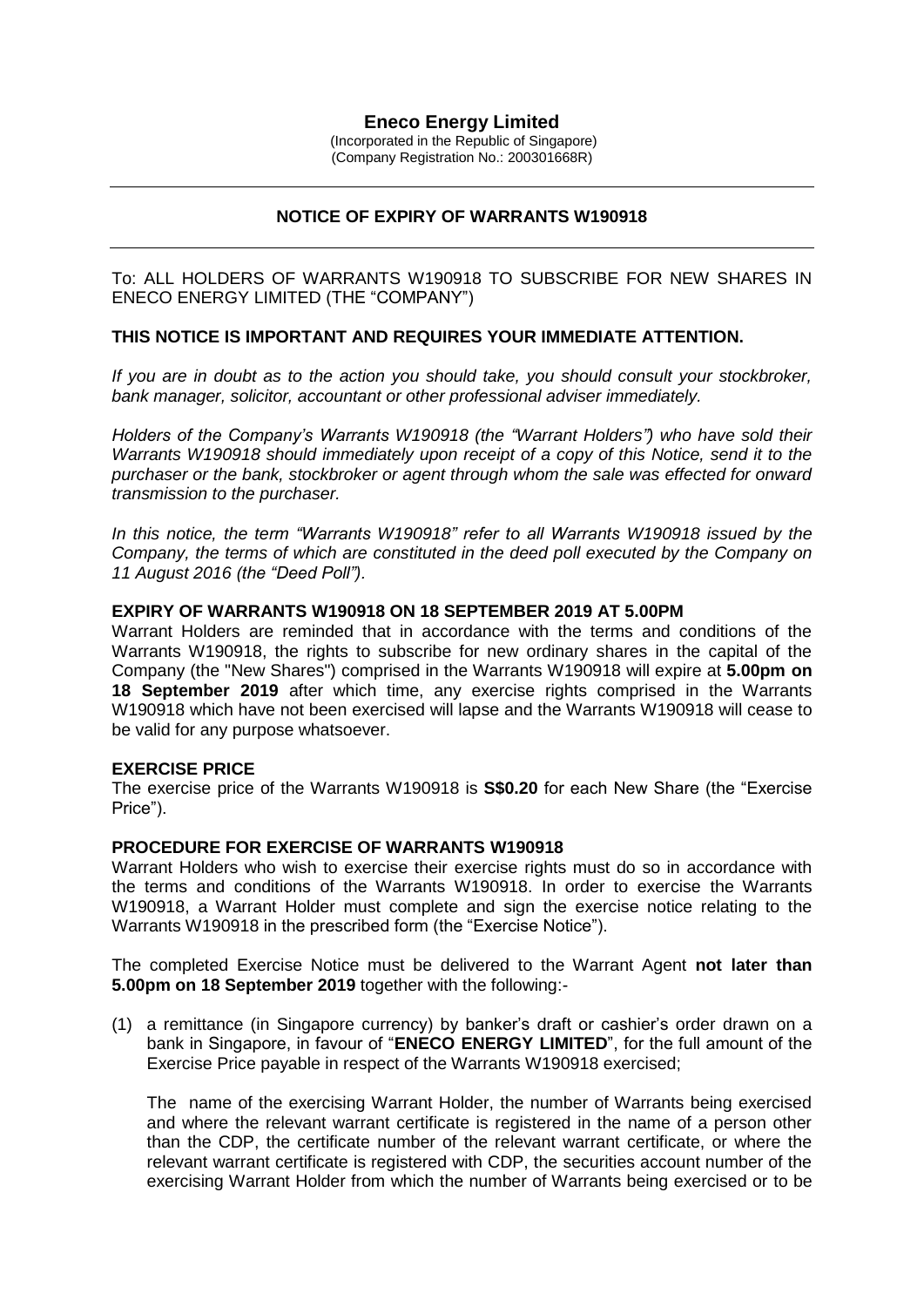# **Eneco Energy Limited**

(Incorporated in the Republic of Singapore) (Company Registration No.: 200301668R)

# **NOTICE OF EXPIRY OF WARRANTS W190918**

To: ALL HOLDERS OF WARRANTS W190918 TO SUBSCRIBE FOR NEW SHARES IN ENECO ENERGY LIMITED (THE "COMPANY")

## **THIS NOTICE IS IMPORTANT AND REQUIRES YOUR IMMEDIATE ATTENTION.**

*If you are in doubt as to the action you should take, you should consult your stockbroker, bank manager, solicitor, accountant or other professional adviser immediately.*

*Holders of the Company's Warrants W190918 (the "Warrant Holders") who have sold their Warrants W190918 should immediately upon receipt of a copy of this Notice, send it to the purchaser or the bank, stockbroker or agent through whom the sale was effected for onward transmission to the purchaser.*

*In this notice, the term "Warrants W190918" refer to all Warrants W190918 issued by the Company, the terms of which are constituted in the deed poll executed by the Company on 11 August 2016 (the "Deed Poll").*

#### **EXPIRY OF WARRANTS W190918 ON 18 SEPTEMBER 2019 AT 5.00PM**

Warrant Holders are reminded that in accordance with the terms and conditions of the Warrants W190918, the rights to subscribe for new ordinary shares in the capital of the Company (the "New Shares") comprised in the Warrants W190918 will expire at **5.00pm on 18 September 2019** after which time, any exercise rights comprised in the Warrants W190918 which have not been exercised will lapse and the Warrants W190918 will cease to be valid for any purpose whatsoever.

#### **EXERCISE PRICE**

The exercise price of the Warrants W190918 is **S\$0.20** for each New Share (the "Exercise Price").

### **PROCEDURE FOR EXERCISE OF WARRANTS W190918**

Warrant Holders who wish to exercise their exercise rights must do so in accordance with the terms and conditions of the Warrants W190918. In order to exercise the Warrants W190918, a Warrant Holder must complete and sign the exercise notice relating to the Warrants W190918 in the prescribed form (the "Exercise Notice").

The completed Exercise Notice must be delivered to the Warrant Agent **not later than 5.00pm on 18 September 2019** together with the following:-

(1) a remittance (in Singapore currency) by banker's draft or cashier's order drawn on a bank in Singapore, in favour of "**ENECO ENERGY LIMITED**", for the full amount of the Exercise Price payable in respect of the Warrants W190918 exercised;

The name of the exercising Warrant Holder, the number of Warrants being exercised and where the relevant warrant certificate is registered in the name of a person other than the CDP, the certificate number of the relevant warrant certificate, or where the relevant warrant certificate is registered with CDP, the securities account number of the exercising Warrant Holder from which the number of Warrants being exercised or to be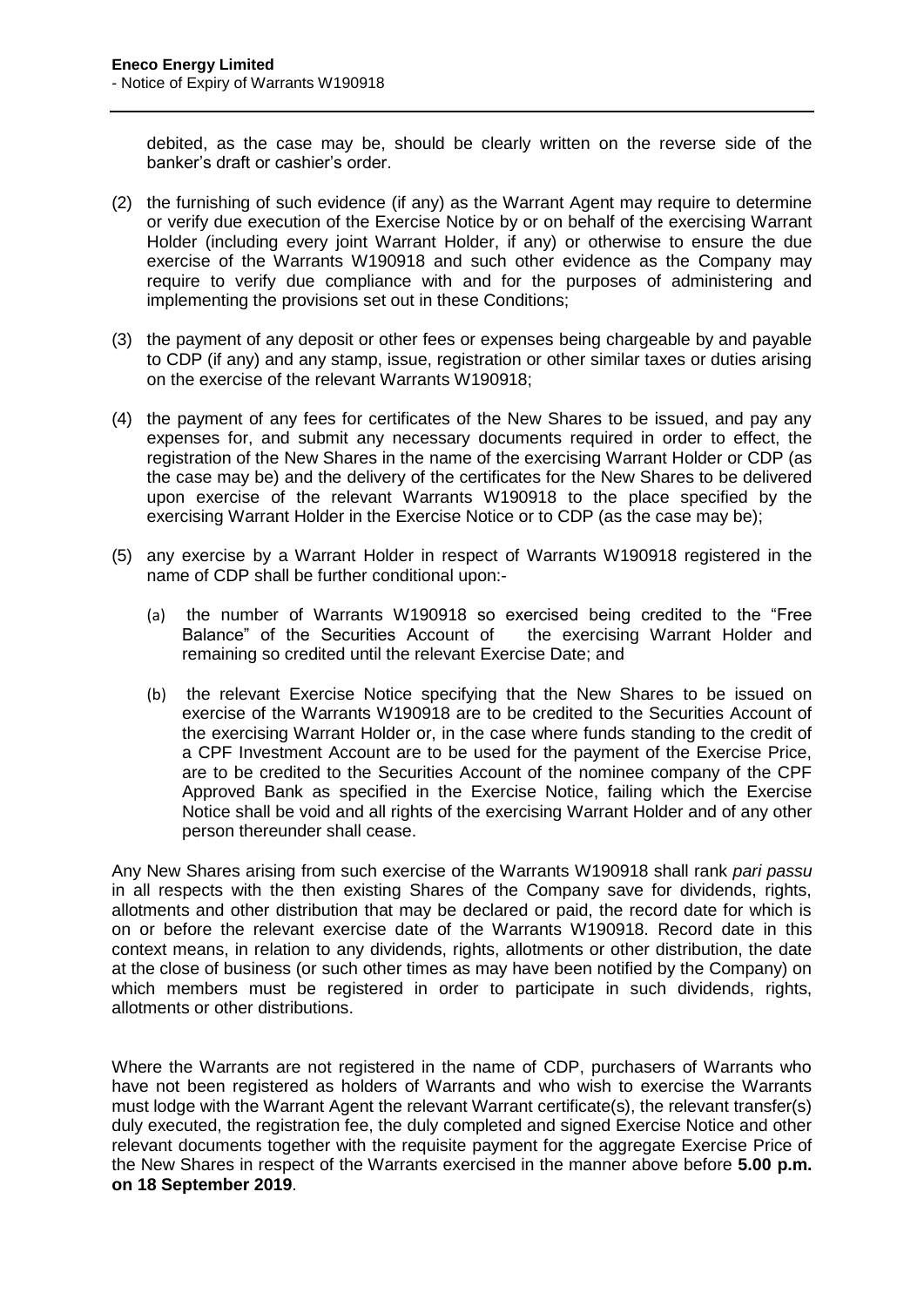debited, as the case may be, should be clearly written on the reverse side of the banker's draft or cashier's order.

- (2) the furnishing of such evidence (if any) as the Warrant Agent may require to determine or verify due execution of the Exercise Notice by or on behalf of the exercising Warrant Holder (including every joint Warrant Holder, if any) or otherwise to ensure the due exercise of the Warrants W190918 and such other evidence as the Company may require to verify due compliance with and for the purposes of administering and implementing the provisions set out in these Conditions;
- (3) the payment of any deposit or other fees or expenses being chargeable by and payable to CDP (if any) and any stamp, issue, registration or other similar taxes or duties arising on the exercise of the relevant Warrants W190918;
- (4) the payment of any fees for certificates of the New Shares to be issued, and pay any expenses for, and submit any necessary documents required in order to effect, the registration of the New Shares in the name of the exercising Warrant Holder or CDP (as the case may be) and the delivery of the certificates for the New Shares to be delivered upon exercise of the relevant Warrants W190918 to the place specified by the exercising Warrant Holder in the Exercise Notice or to CDP (as the case may be);
- (5) any exercise by a Warrant Holder in respect of Warrants W190918 registered in the name of CDP shall be further conditional upon:-
	- (a) the number of Warrants W190918 so exercised being credited to the "Free Balance" of the Securities Account of the exercising Warrant Holder and remaining so credited until the relevant Exercise Date; and
	- (b) the relevant Exercise Notice specifying that the New Shares to be issued on exercise of the Warrants W190918 are to be credited to the Securities Account of the exercising Warrant Holder or, in the case where funds standing to the credit of a CPF Investment Account are to be used for the payment of the Exercise Price, are to be credited to the Securities Account of the nominee company of the CPF Approved Bank as specified in the Exercise Notice, failing which the Exercise Notice shall be void and all rights of the exercising Warrant Holder and of any other person thereunder shall cease.

Any New Shares arising from such exercise of the Warrants W190918 shall rank *pari passu* in all respects with the then existing Shares of the Company save for dividends, rights, allotments and other distribution that may be declared or paid, the record date for which is on or before the relevant exercise date of the Warrants W190918. Record date in this context means, in relation to any dividends, rights, allotments or other distribution, the date at the close of business (or such other times as may have been notified by the Company) on which members must be registered in order to participate in such dividends, rights, allotments or other distributions.

Where the Warrants are not registered in the name of CDP, purchasers of Warrants who have not been registered as holders of Warrants and who wish to exercise the Warrants must lodge with the Warrant Agent the relevant Warrant certificate(s), the relevant transfer(s) duly executed, the registration fee, the duly completed and signed Exercise Notice and other relevant documents together with the requisite payment for the aggregate Exercise Price of the New Shares in respect of the Warrants exercised in the manner above before **5.00 p.m. on 18 September 2019**.